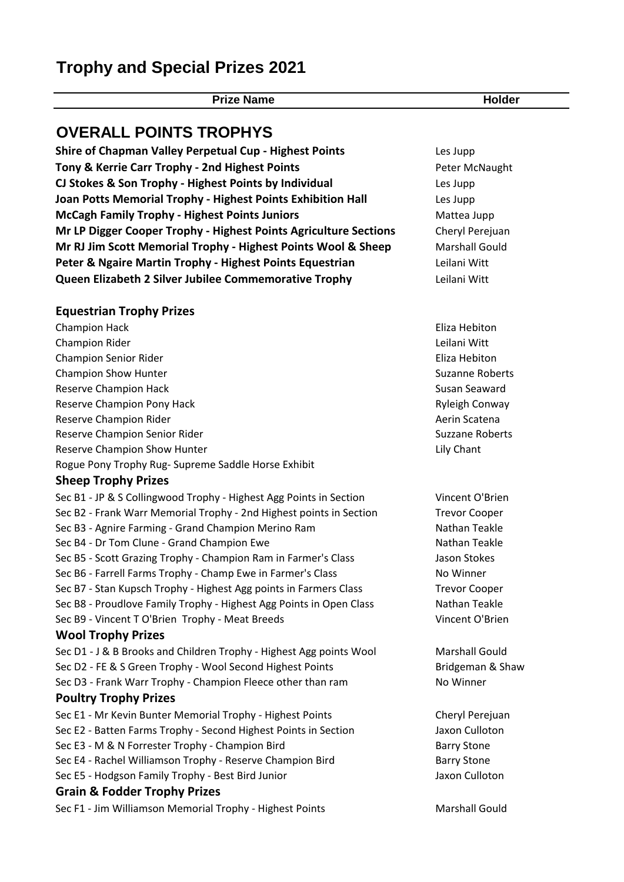# **Trophy and Special Prizes 2021**

**Prize Name Holder**

## **OVERALL POINTS TROPHYS**

**Shire of Chapman Valley Perpetual Cup - Highest Points** Les Jupp **Tony & Kerrie Carr Trophy - 2nd Highest Points Peter McNaught** Peter McNaught **CJ Stokes & Son Trophy - Highest Points by Individual** Les Jupp **Joan Potts Memorial Trophy - Highest Points Exhibition Hall** Les Jupp **McCagh Family Trophy - Highest Points Juniors** Mattea Jupp **Mr LP Digger Cooper Trophy - Highest Points Agriculture Sections** Cheryl Perejuan **Mr RJ Jim Scott Memorial Trophy - Highest Points Wool & Sheep Marshall Gould** Peter & Ngaire Martin Trophy - Highest Points Equestrian **Legange Leilani Witt Queen Elizabeth 2 Silver Jubilee Commemorative Trophy** Leilani Witt

#### **Equestrian Trophy Prizes**

Champion Hack Eliza Hebiton Champion Rider Leilani Witt Champion Senior Rider **Eliza Hebiton** Eliza Hebiton Champion Show Hunter Suzanne Roberts Suzanne Roberts Reserve Champion Hack Susan Seaward Susan Seaward Reserve Champion Pony Hack **Ryleigh Conway** Reserve Champion Rider Aerin Scatena and The Reserve Champion Rider Aerin Scatena and The Reserve Champion Rider Reserve Champion Senior Rider Suzzane Roberts Reserve Champion Show Hunter Lily Chant Lily Chant Rogue Pony Trophy Rug- Supreme Saddle Horse Exhibit

#### **Sheep Trophy Prizes**

Sec B1 - JP & S Collingwood Trophy - Highest Agg Points in Section Vincent O'Brien Sec B2 - Frank Warr Memorial Trophy - 2nd Highest points in Section Trevor Cooper Sec B3 - Agnire Farming - Grand Champion Merino Ram Nathan Teakle Sec B4 - Dr Tom Clune - Grand Champion Ewe Nathan Teakle Sec B5 - Scott Grazing Trophy - Champion Ram in Farmer's Class Jason Stokes Sec B6 - Farrell Farms Trophy - Champ Ewe in Farmer's Class Now Mo Winner Sec B7 - Stan Kupsch Trophy - Highest Agg points in Farmers Class Trevor Cooper Sec B8 - Proudlove Family Trophy - Highest Agg Points in Open Class Nathan Teakle Sec B9 - Vincent T O'Brien Trophy - Meat Breeds Vincent O'Brien Vincent O'Brien **Wool Trophy Prizes**

Sec D1 - J & B Brooks and Children Trophy - Highest Agg points Wool Marshall Gould Sec D2 - FE & S Green Trophy - Wool Second Highest Points Bridgeman & Shaw Sec D3 - Frank Warr Trophy - Champion Fleece other than ram No Winner

### **Poultry Trophy Prizes**

- Sec E1 Mr Kevin Bunter Memorial Trophy Highest Points Cheryl Perejuan Sec E2 - Batten Farms Trophy - Second Highest Points in Section Jaxon Culloton Sec E3 - M & N Forrester Trophy - Champion Bird Barry Stone Barry Stone
- Sec E4 Rachel Williamson Trophy Reserve Champion Bird Barry Stone
- Sec E5 Hodgson Family Trophy Best Bird Junior Jaxon Culloton Jaxon Culloton

#### **Grain & Fodder Trophy Prizes**

Sec F1 - Jim Williamson Memorial Trophy - Highest Points Marshall Gould

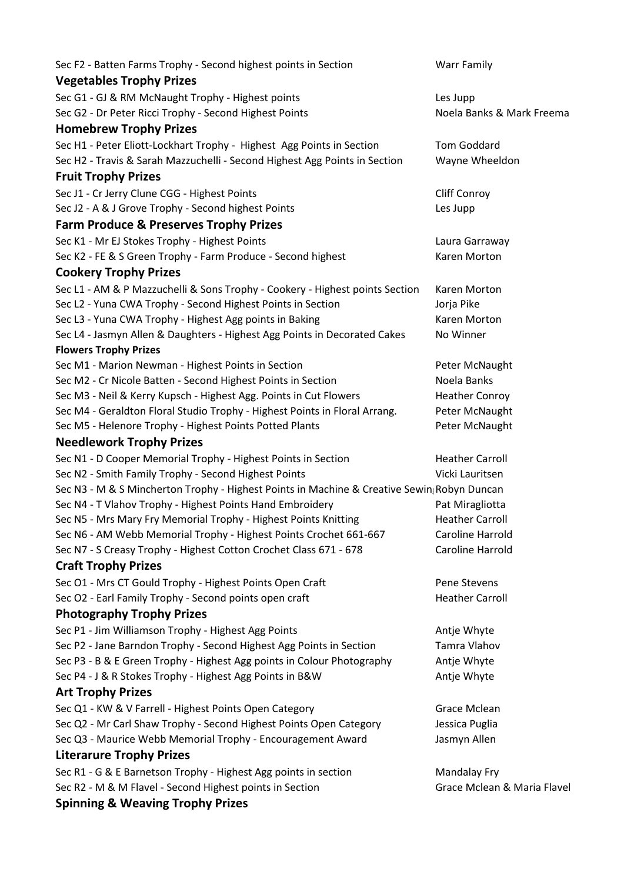| Sec F2 - Batten Farms Trophy - Second highest points in Section                            | <b>Warr Family</b>          |
|--------------------------------------------------------------------------------------------|-----------------------------|
| <b>Vegetables Trophy Prizes</b>                                                            |                             |
|                                                                                            |                             |
| Sec G1 - GJ & RM McNaught Trophy - Highest points                                          | Les Jupp                    |
| Sec G2 - Dr Peter Ricci Trophy - Second Highest Points                                     | Noela Banks & Mark Freema   |
| <b>Homebrew Trophy Prizes</b>                                                              |                             |
| Sec H1 - Peter Eliott-Lockhart Trophy - Highest Agg Points in Section                      | <b>Tom Goddard</b>          |
| Sec H2 - Travis & Sarah Mazzuchelli - Second Highest Agg Points in Section                 | Wayne Wheeldon              |
| <b>Fruit Trophy Prizes</b>                                                                 |                             |
| Sec J1 - Cr Jerry Clune CGG - Highest Points                                               | <b>Cliff Conroy</b>         |
| Sec J2 - A & J Grove Trophy - Second highest Points                                        | Les Jupp                    |
| <b>Farm Produce &amp; Preserves Trophy Prizes</b>                                          |                             |
| Sec K1 - Mr EJ Stokes Trophy - Highest Points                                              | Laura Garraway              |
| Sec K2 - FE & S Green Trophy - Farm Produce - Second highest                               | Karen Morton                |
| <b>Cookery Trophy Prizes</b>                                                               |                             |
| Sec L1 - AM & P Mazzuchelli & Sons Trophy - Cookery - Highest points Section               | Karen Morton                |
| Sec L2 - Yuna CWA Trophy - Second Highest Points in Section                                | Jorja Pike                  |
| Sec L3 - Yuna CWA Trophy - Highest Agg points in Baking                                    | Karen Morton                |
| Sec L4 - Jasmyn Allen & Daughters - Highest Agg Points in Decorated Cakes                  | No Winner                   |
| <b>Flowers Trophy Prizes</b>                                                               |                             |
| Sec M1 - Marion Newman - Highest Points in Section                                         | Peter McNaught              |
| Sec M2 - Cr Nicole Batten - Second Highest Points in Section                               | Noela Banks                 |
| Sec M3 - Neil & Kerry Kupsch - Highest Agg. Points in Cut Flowers                          | <b>Heather Conroy</b>       |
| Sec M4 - Geraldton Floral Studio Trophy - Highest Points in Floral Arrang.                 | Peter McNaught              |
| Sec M5 - Helenore Trophy - Highest Points Potted Plants                                    | Peter McNaught              |
| <b>Needlework Trophy Prizes</b>                                                            |                             |
| Sec N1 - D Cooper Memorial Trophy - Highest Points in Section                              | <b>Heather Carroll</b>      |
| Sec N2 - Smith Family Trophy - Second Highest Points                                       | Vicki Lauritsen             |
| Sec N3 - M & S Mincherton Trophy - Highest Points in Machine & Creative Sewin Robyn Duncan |                             |
| Sec N4 - T Vlahov Trophy - Highest Points Hand Embroidery                                  | Pat Miragliotta             |
| Sec N5 - Mrs Mary Fry Memorial Trophy - Highest Points Knitting                            | <b>Heather Carroll</b>      |
| Sec N6 - AM Webb Memorial Trophy - Highest Points Crochet 661-667                          | <b>Caroline Harrold</b>     |
| Sec N7 - S Creasy Trophy - Highest Cotton Crochet Class 671 - 678                          | Caroline Harrold            |
| <b>Craft Trophy Prizes</b>                                                                 |                             |
|                                                                                            |                             |
| Sec O1 - Mrs CT Gould Trophy - Highest Points Open Craft                                   | Pene Stevens                |
| Sec O2 - Earl Family Trophy - Second points open craft                                     | <b>Heather Carroll</b>      |
| <b>Photography Trophy Prizes</b>                                                           |                             |
| Sec P1 - Jim Williamson Trophy - Highest Agg Points                                        | Antje Whyte                 |
| Sec P2 - Jane Barndon Trophy - Second Highest Agg Points in Section                        | Tamra Vlahov                |
| Sec P3 - B & E Green Trophy - Highest Agg points in Colour Photography                     | Antje Whyte                 |
| Sec P4 - J & R Stokes Trophy - Highest Agg Points in B&W                                   | Antje Whyte                 |
| <b>Art Trophy Prizes</b>                                                                   |                             |
| Sec Q1 - KW & V Farrell - Highest Points Open Category                                     | Grace Mclean                |
| Sec Q2 - Mr Carl Shaw Trophy - Second Highest Points Open Category                         | Jessica Puglia              |
| Sec Q3 - Maurice Webb Memorial Trophy - Encouragement Award                                | Jasmyn Allen                |
| <b>Literarure Trophy Prizes</b>                                                            |                             |
| Sec R1 - G & E Barnetson Trophy - Highest Agg points in section                            | <b>Mandalay Fry</b>         |
| Sec R2 - M & M Flavel - Second Highest points in Section                                   | Grace Mclean & Maria Flavel |
| <b>Spinning &amp; Weaving Trophy Prizes</b>                                                |                             |
|                                                                                            |                             |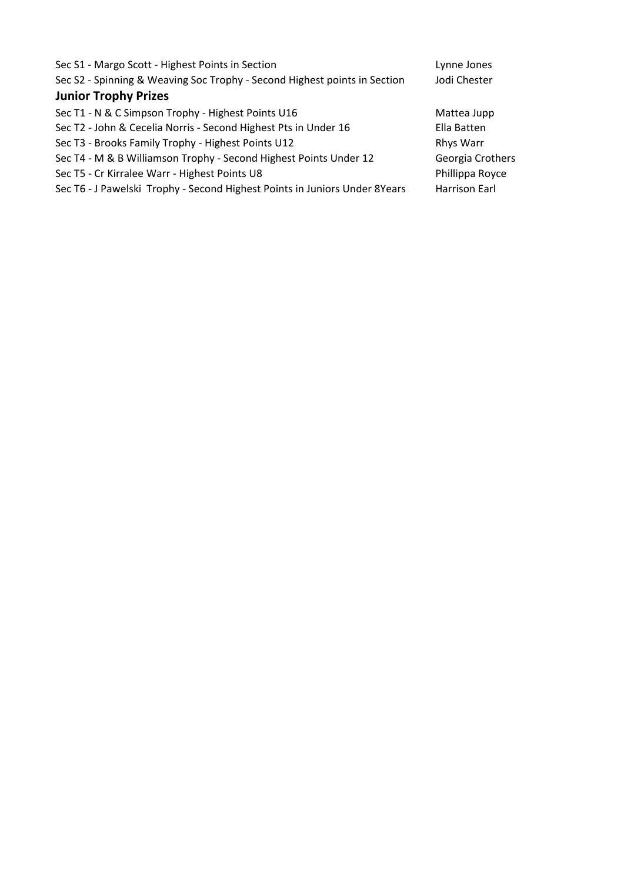| Sec S1 - Margo Scott - Highest Points in Section                           | Lynne Jones      |
|----------------------------------------------------------------------------|------------------|
| Sec S2 - Spinning & Weaving Soc Trophy - Second Highest points in Section  | Jodi Chester     |
| <b>Junior Trophy Prizes</b>                                                |                  |
| Sec T1 - N & C Simpson Trophy - Highest Points U16                         | Mattea Jupp      |
| Sec T2 - John & Cecelia Norris - Second Highest Pts in Under 16            | Ella Batten      |
| Sec T3 - Brooks Family Trophy - Highest Points U12                         | Rhys Warr        |
| Sec T4 - M & B Williamson Trophy - Second Highest Points Under 12          | Georgia Crothers |
| Sec T5 - Cr Kirralee Warr - Highest Points U8                              | Phillippa Royce  |
| Sec T6 - J Pawelski Trophy - Second Highest Points in Juniors Under 8Years | Harrison Earl    |